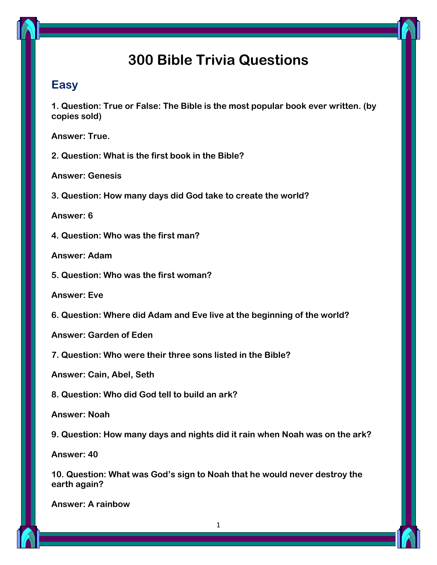# **300 Bible Trivia Questions**

## **Easy**

**1. Question: True or False: The Bible is the most popular book ever written. (by copies sold)**

**Answer: True.**

**2. Question: What is the first book in the Bible?**

**Answer: Genesis**

**3. Question: How many days did God take to create the world?**

**Answer: 6**

**4. Question: Who was the first man?**

**Answer: Adam**

**5. Question: Who was the first woman?**

**Answer: Eve**

**6. Question: Where did Adam and Eve live at the beginning of the world?**

**Answer: Garden of Eden**

**7. Question: Who were their three sons listed in the Bible?**

**Answer: Cain, Abel, Seth**

**8. Question: Who did God tell to build an ark?**

**Answer: Noah**

**9. Question: How many days and nights did it rain when Noah was on the ark?**

**Answer: 40**

**10. Question: What was God's sign to Noah that he would never destroy the earth again?**

**Answer: A rainbow**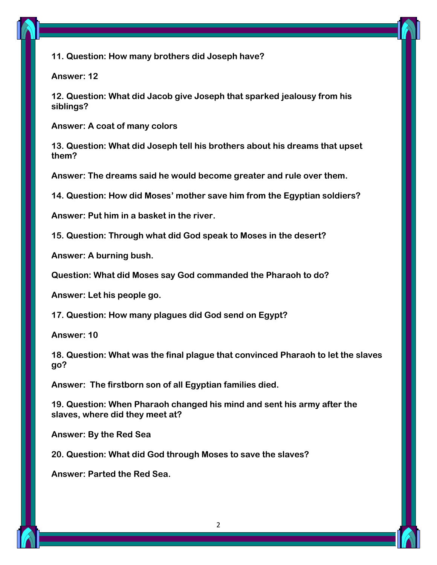

**11. Question: How many brothers did Joseph have?**

**Answer: 12**

**12. Question: What did Jacob give Joseph that sparked jealousy from his siblings?**

**Answer: A coat of many colors**

**13. Question: What did Joseph tell his brothers about his dreams that upset them?**

**Answer: The dreams said he would become greater and rule over them.**

**14. Question: How did Moses' mother save him from the Egyptian soldiers?**

**Answer: Put him in a basket in the river.**

**15. Question: Through what did God speak to Moses in the desert?**

**Answer: A burning bush.**

**Question: What did Moses say God commanded the Pharaoh to do?**

**Answer: Let his people go.**

**17. Question: How many plagues did God send on Egypt?**

**Answer: 10**

**18. Question: What was the final plague that convinced Pharaoh to let the slaves go?**

**Answer: The firstborn son of all Egyptian families died.**

**19. Question: When Pharaoh changed his mind and sent his army after the slaves, where did they meet at?**

**Answer: By the Red Sea**

**20. Question: What did God through Moses to save the slaves?**

**Answer: Parted the Red Sea.**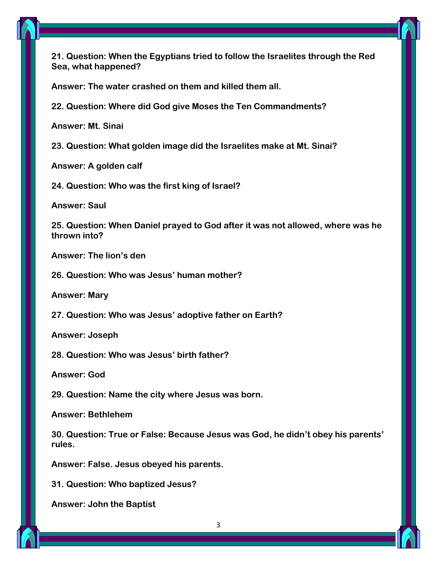

**21. Question: When the Egyptians tried to follow the Israelites through the Red Sea, what happened?**

**Answer: The water crashed on them and killed them all.**

**22. Question: Where did God give Moses the Ten Commandments?**

**Answer: Mt. Sinai**

**23. Question: What golden image did the Israelites make at Mt. Sinai?**

**Answer: A golden calf**

**24. Question: Who was the first king of Israel?**

**Answer: Saul**

**25. Question: When Daniel prayed to God after it was not allowed, where was he thrown into?**

**Answer: The lion's den**

**26. Question: Who was Jesus' human mother?**

**Answer: Mary**

**27. Question: Who was Jesus' adoptive father on Earth?**

**Answer: Joseph**

**28. Question: Who was Jesus' birth father?**

**Answer: God**

**29. Question: Name the city where Jesus was born.**

**Answer: Bethlehem**

**30. Question: True or False: Because Jesus was God, he didn't obey his parents' rules.**

**Answer: False. Jesus obeyed his parents.**

**31. Question: Who baptized Jesus?**

**Answer: John the Baptist**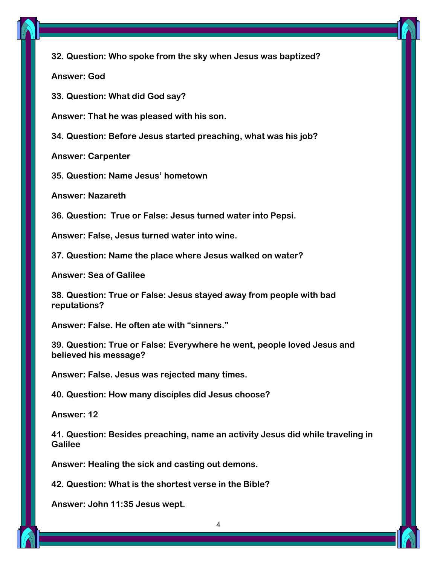

**32. Question: Who spoke from the sky when Jesus was baptized?**

**Answer: God**

**33. Question: What did God say?**

**Answer: That he was pleased with his son.**

**34. Question: Before Jesus started preaching, what was his job?**

**Answer: Carpenter**

**35. Question: Name Jesus' hometown**

**Answer: Nazareth**

**36. Question: True or False: Jesus turned water into Pepsi.**

**Answer: False, Jesus turned water into wine.**

**37. Question: Name the place where Jesus walked on water?**

**Answer: Sea of Galilee**

**38. Question: True or False: Jesus stayed away from people with bad reputations?**

**Answer: False. He often ate with "sinners."**

**39. Question: True or False: Everywhere he went, people loved Jesus and believed his message?**

**Answer: False. Jesus was rejected many times.**

**40. Question: How many disciples did Jesus choose?**

**Answer: 12**

**41. Question: Besides preaching, name an activity Jesus did while traveling in Galilee**

**Answer: Healing the sick and casting out demons.**

**42. Question: What is the shortest verse in the Bible?**

**Answer: John 11:35 Jesus wept.**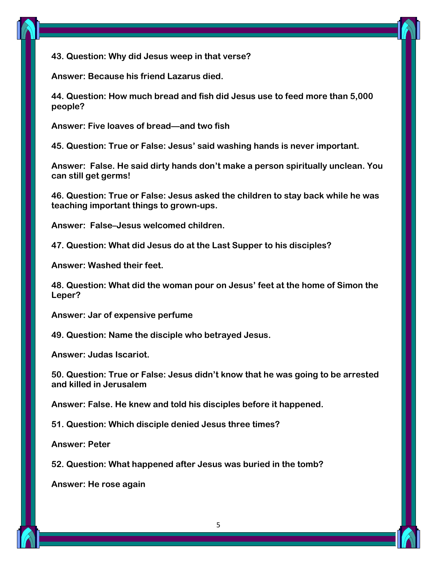

**Answer: Because his friend Lazarus died.**

**44. Question: How much bread and fish did Jesus use to feed more than 5,000 people?**

**Answer: Five loaves of bread—and two fish**

**45. Question: True or False: Jesus' said washing hands is never important.**

**Answer: False. He said dirty hands don't make a person spiritually unclean. You can still get germs!**

**46. Question: True or False: Jesus asked the children to stay back while he was teaching important things to grown-ups.**

**Answer: False–Jesus welcomed children.**

**47. Question: What did Jesus do at the Last Supper to his disciples?**

**Answer: Washed their feet.**

**48. Question: What did the woman pour on Jesus' feet at the home of Simon the Leper?**

**Answer: Jar of expensive perfume**

**49. Question: Name the disciple who betrayed Jesus.**

**Answer: Judas Iscariot.**

**50. Question: True or False: Jesus didn't know that he was going to be arrested and killed in Jerusalem**

**Answer: False. He knew and told his disciples before it happened.**

**51. Question: Which disciple denied Jesus three times?**

**Answer: Peter**

**52. Question: What happened after Jesus was buried in the tomb?**

**Answer: He rose again**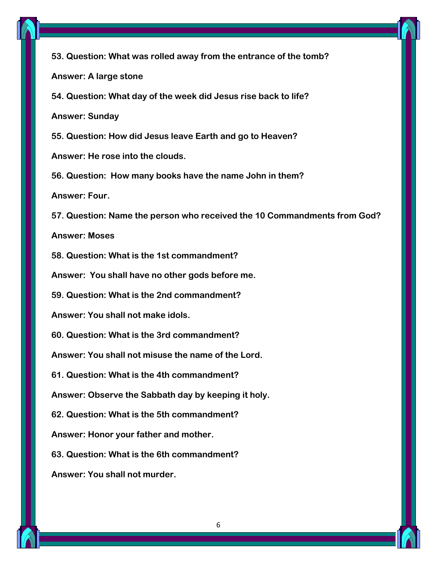

**53. Question: What was rolled away from the entrance of the tomb? Answer: A large stone 54. Question: What day of the week did Jesus rise back to life?**

**Answer: Sunday**

**55. Question: How did Jesus leave Earth and go to Heaven?**

**Answer: He rose into the clouds.**

**56. Question: How many books have the name John in them?**

**Answer: Four.**

**57. Question: Name the person who received the 10 Commandments from God?**

**Answer: Moses**

**58. Question: What is the 1st commandment?**

**Answer: You shall have no other gods before me.**

**59. Question: What is the 2nd commandment?**

**Answer: You shall not make idols.**

**60. Question: What is the 3rd commandment?**

**Answer: You shall not misuse the name of the Lord.**

**61. Question: What is the 4th commandment?**

**Answer: Observe the Sabbath day by keeping it holy.**

**62. Question: What is the 5th commandment?**

**Answer: Honor your father and mother.**

**63. Question: What is the 6th commandment?**

**Answer: You shall not murder.**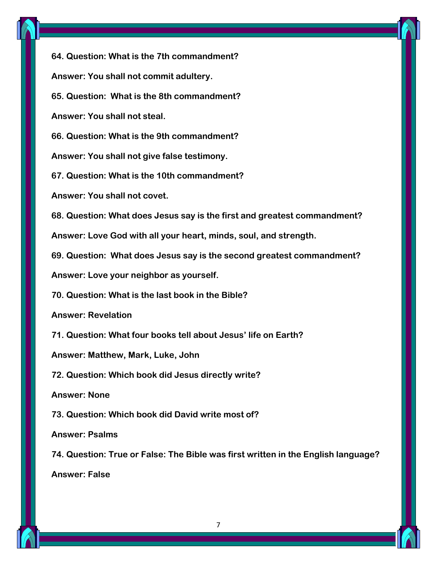

**64. Question: What is the 7th commandment? Answer: You shall not commit adultery. 65. Question: What is the 8th commandment? Answer: You shall not steal. 66. Question: What is the 9th commandment? Answer: You shall not give false testimony. 67. Question: What is the 10th commandment? Answer: You shall not covet. 68. Question: What does Jesus say is the first and greatest commandment? Answer: Love God with all your heart, minds, soul, and strength. 69. Question: What does Jesus say is the second greatest commandment? Answer: Love your neighbor as yourself. 70. Question: What is the last book in the Bible? Answer: Revelation 71. Question: What four books tell about Jesus' life on Earth? Answer: Matthew, Mark, Luke, John 72. Question: Which book did Jesus directly write? Answer: None 73. Question: Which book did David write most of? Answer: Psalms 74. Question: True or False: The Bible was first written in the English language? Answer: False**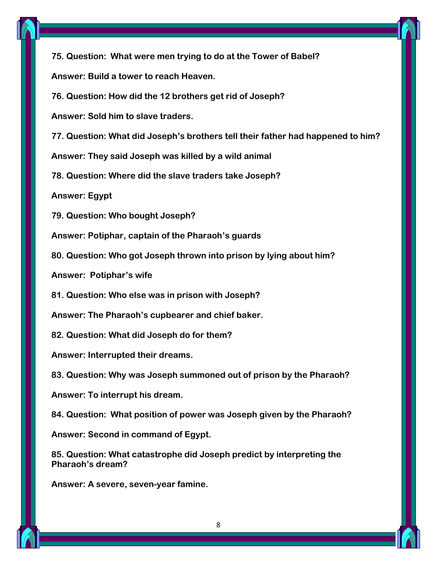

**75. Question: What were men trying to do at the Tower of Babel? Answer: Build a tower to reach Heaven.**

**76. Question: How did the 12 brothers get rid of Joseph?**

**Answer: Sold him to slave traders.**

**77. Question: What did Joseph's brothers tell their father had happened to him?**

**Answer: They said Joseph was killed by a wild animal**

**78. Question: Where did the slave traders take Joseph?**

**Answer: Egypt**

**79. Question: Who bought Joseph?**

**Answer: Potiphar, captain of the Pharaoh's guards**

**80. Question: Who got Joseph thrown into prison by lying about him?**

**Answer: Potiphar's wife**

**81. Question: Who else was in prison with Joseph?**

**Answer: The Pharaoh's cupbearer and chief baker.**

**82. Question: What did Joseph do for them?**

**Answer: Interrupted their dreams.**

**83. Question: Why was Joseph summoned out of prison by the Pharaoh?**

**Answer: To interrupt his dream.**

**84. Question: What position of power was Joseph given by the Pharaoh?**

**Answer: Second in command of Egypt.**

**85. Question: What catastrophe did Joseph predict by interpreting the Pharaoh's dream?**

**Answer: A severe, seven-year famine.**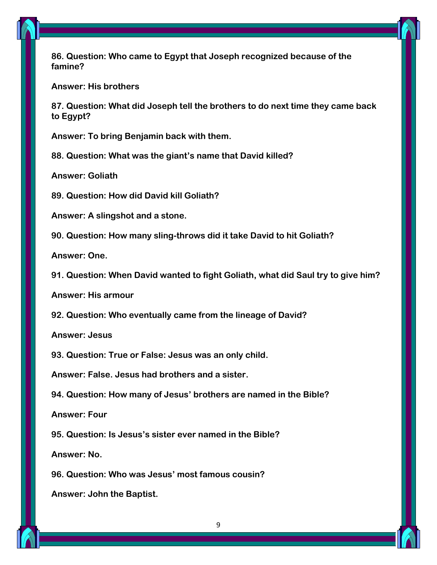

**86. Question: Who came to Egypt that Joseph recognized because of the famine?**

**Answer: His brothers**

**87. Question: What did Joseph tell the brothers to do next time they came back to Egypt?**

**Answer: To bring Benjamin back with them.**

**88. Question: What was the giant's name that David killed?**

**Answer: Goliath**

**89. Question: How did David kill Goliath?**

**Answer: A slingshot and a stone.**

**90. Question: How many sling-throws did it take David to hit Goliath?**

**Answer: One.**

**91. Question: When David wanted to fight Goliath, what did Saul try to give him?**

**Answer: His armour**

**92. Question: Who eventually came from the lineage of David?**

**Answer: Jesus**

**93. Question: True or False: Jesus was an only child.**

**Answer: False. Jesus had brothers and a sister.**

**94. Question: How many of Jesus' brothers are named in the Bible?**

**Answer: Four**

**95. Question: Is Jesus's sister ever named in the Bible?**

**Answer: No.**

**96. Question: Who was Jesus' most famous cousin?**

**Answer: John the Baptist.**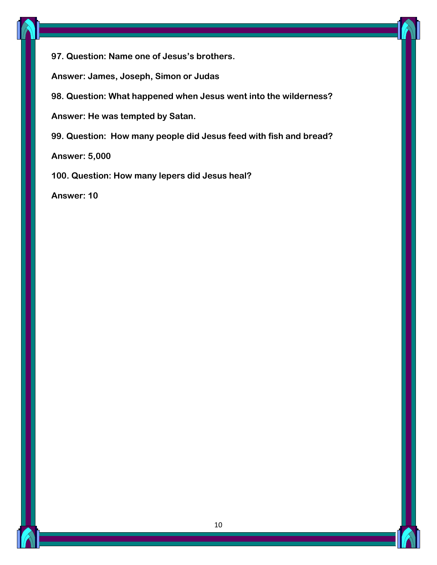

**97. Question: Name one of Jesus's brothers.**

**Answer: James, Joseph, Simon or Judas**

**98. Question: What happened when Jesus went into the wilderness?**

**Answer: He was tempted by Satan.**

**99. Question: How many people did Jesus feed with fish and bread?**

**Answer: 5,000**

**100. Question: How many lepers did Jesus heal?**

**Answer: 10**

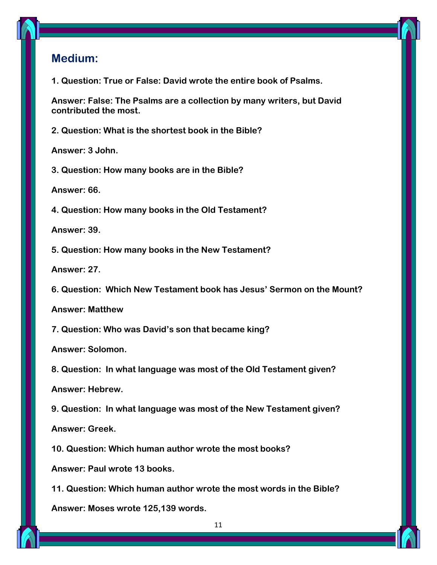## **Medium:**

**1. Question: True or False: David wrote the entire book of Psalms.**

**Answer: False: The Psalms are a collection by many writers, but David contributed the most.**

**2. Question: What is the shortest book in the Bible?**

**Answer: 3 John.**

**3. Question: How many books are in the Bible?**

**Answer: 66.**

**4. Question: How many books in the Old Testament?**

**Answer: 39.**

**5. Question: How many books in the New Testament?**

**Answer: 27.**

**6. Question: Which New Testament book has Jesus' Sermon on the Mount?**

**Answer: Matthew**

**7. Question: Who was David's son that became king?**

**Answer: Solomon.**

**8. Question: In what language was most of the Old Testament given?**

**Answer: Hebrew.**

**9. Question: In what language was most of the New Testament given?**

**Answer: Greek.**

**10. Question: Which human author wrote the most books?**

**Answer: Paul wrote 13 books.**

**11. Question: Which human author wrote the most words in the Bible?**

**Answer: Moses wrote 125,139 words.**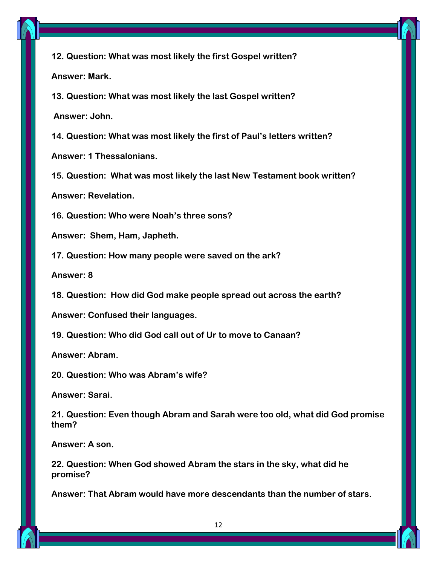

**12. Question: What was most likely the first Gospel written? Answer: Mark.**

**13. Question: What was most likely the last Gospel written?**

**Answer: John.**

**14. Question: What was most likely the first of Paul's letters written?**

**Answer: 1 Thessalonians.**

**15. Question: What was most likely the last New Testament book written?**

**Answer: Revelation.**

**16. Question: Who were Noah's three sons?**

**Answer: Shem, Ham, Japheth.**

**17. Question: How many people were saved on the ark?**

**Answer: 8**

**18. Question: How did God make people spread out across the earth?**

**Answer: Confused their languages.**

**19. Question: Who did God call out of Ur to move to Canaan?**

**Answer: Abram.**

**20. Question: Who was Abram's wife?**

**Answer: Sarai.**

**21. Question: Even though Abram and Sarah were too old, what did God promise them?**

**Answer: A son.**

**22. Question: When God showed Abram the stars in the sky, what did he promise?**

**Answer: That Abram would have more descendants than the number of stars.**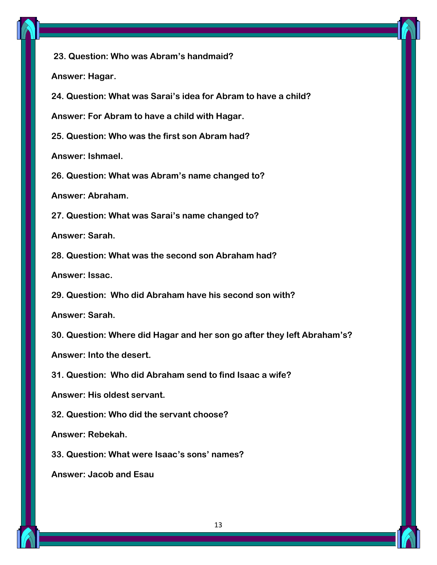

**23. Question: Who was Abram's handmaid? Answer: Hagar. 24. Question: What was Sarai's idea for Abram to have a child? Answer: For Abram to have a child with Hagar. 25. Question: Who was the first son Abram had? Answer: Ishmael. 26. Question: What was Abram's name changed to? Answer: Abraham. 27. Question: What was Sarai's name changed to?**

**Answer: Sarah.**

**28. Question: What was the second son Abraham had?**

**Answer: Issac.**

**29. Question: Who did Abraham have his second son with?**

**Answer: Sarah.**

**30. Question: Where did Hagar and her son go after they left Abraham's?**

**Answer: Into the desert.**

**31. Question: Who did Abraham send to find Isaac a wife?**

**Answer: His oldest servant.**

**32. Question: Who did the servant choose?**

**Answer: Rebekah.**

**33. Question: What were Isaac's sons' names?**

**Answer: Jacob and Esau**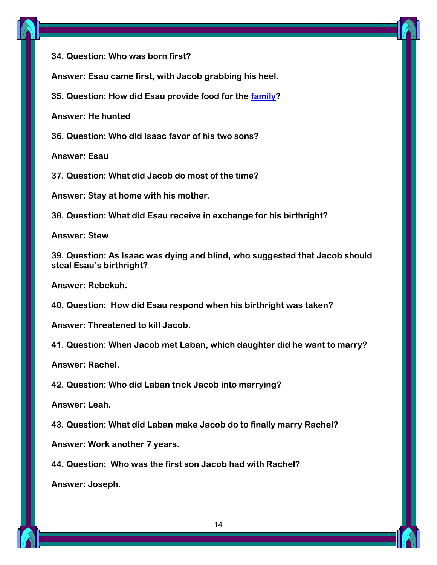

**34. Question: Who was born first?**

**Answer: Esau came first, with Jacob grabbing his heel.**

**35. Question: How did Esau provide food for the [family?](https://parade.com/1045384/marynliles/family-quotes/)**

**Answer: He hunted**

**36. Question: Who did Isaac favor of his two sons?**

**Answer: Esau**

**37. Question: What did Jacob do most of the time?**

**Answer: Stay at home with his mother.**

**38. Question: What did Esau receive in exchange for his birthright?**

**Answer: Stew**

**39. Question: As Isaac was dying and blind, who suggested that Jacob should steal Esau's birthright?**

**Answer: Rebekah.**

**40. Question: How did Esau respond when his birthright was taken?**

**Answer: Threatened to kill Jacob.**

**41. Question: When Jacob met Laban, which daughter did he want to marry?**

**Answer: Rachel.**

**42. Question: Who did Laban trick Jacob into marrying?**

**Answer: Leah.**

**43. Question: What did Laban make Jacob do to finally marry Rachel?**

**Answer: Work another 7 years.**

**44. Question: Who was the first son Jacob had with Rachel?**

**Answer: Joseph.**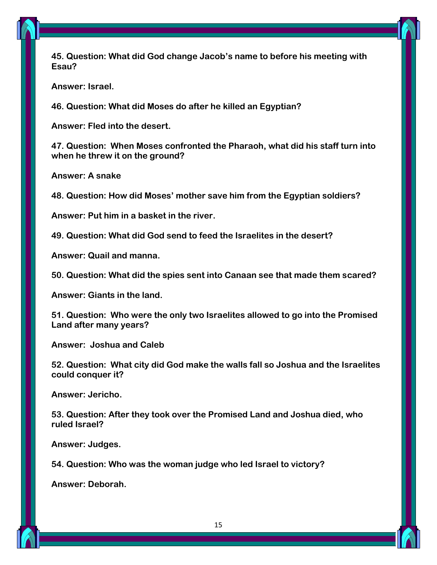**45. Question: What did God change Jacob's name to before his meeting with Esau?**

**Answer: Israel.**

**46. Question: What did Moses do after he killed an Egyptian?**

**Answer: Fled into the desert.**

**47. Question: When Moses confronted the Pharaoh, what did his staff turn into when he threw it on the ground?**

**Answer: A snake**

**48. Question: How did Moses' mother save him from the Egyptian soldiers?**

**Answer: Put him in a basket in the river.**

**49. Question: What did God send to feed the Israelites in the desert?**

**Answer: Quail and manna.**

**50. Question: What did the spies sent into Canaan see that made them scared?**

**Answer: Giants in the land.**

**51. Question: Who were the only two Israelites allowed to go into the Promised Land after many years?**

**Answer: Joshua and Caleb**

**52. Question: What city did God make the walls fall so Joshua and the Israelites could conquer it?**

**Answer: Jericho.**

**53. Question: After they took over the Promised Land and Joshua died, who ruled Israel?**

**Answer: Judges.**

**54. Question: Who was the woman judge who led Israel to victory?**

**Answer: Deborah.**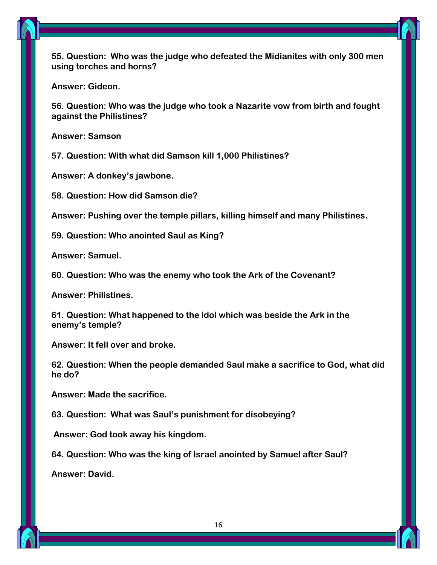

**55. Question: Who was the judge who defeated the Midianites with only 300 men using torches and horns?**

**Answer: Gideon.**

**56. Question: Who was the judge who took a Nazarite vow from birth and fought against the Philistines?**

**Answer: Samson**

**57. Question: With what did Samson kill 1,000 Philistines?**

**Answer: A donkey's jawbone.**

**58. Question: How did Samson die?**

**Answer: Pushing over the temple pillars, killing himself and many Philistines.**

**59. Question: Who anointed Saul as King?**

**Answer: Samuel.**

**60. Question: Who was the enemy who took the Ark of the Covenant?**

**Answer: Philistines.**

**61. Question: What happened to the idol which was beside the Ark in the enemy's temple?**

**Answer: It fell over and broke.**

**62. Question: When the people demanded Saul make a sacrifice to God, what did he do?**

**Answer: Made the sacrifice.**

**63. Question: What was Saul's punishment for disobeying?**

**Answer: God took away his kingdom.**

**64. Question: Who was the king of Israel anointed by Samuel after Saul?**

**Answer: David.**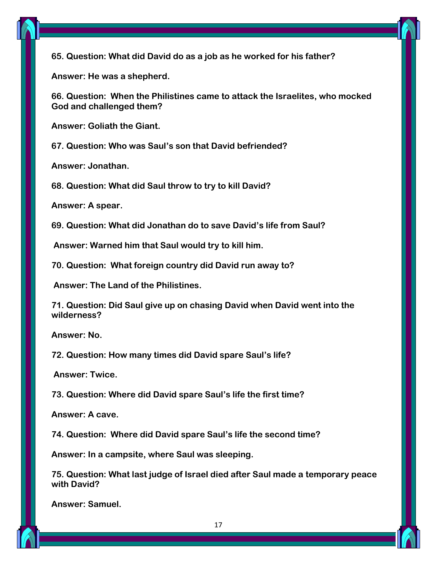

**65. Question: What did David do as a job as he worked for his father?**

**Answer: He was a shepherd.**

**66. Question: When the Philistines came to attack the Israelites, who mocked God and challenged them?**

**Answer: Goliath the Giant.**

**67. Question: Who was Saul's son that David befriended?**

**Answer: Jonathan.**

**68. Question: What did Saul throw to try to kill David?**

**Answer: A spear.**

**69. Question: What did Jonathan do to save David's life from Saul?**

**Answer: Warned him that Saul would try to kill him.**

**70. Question: What foreign country did David run away to?**

**Answer: The Land of the Philistines.**

**71. Question: Did Saul give up on chasing David when David went into the wilderness?**

**Answer: No.**

**72. Question: How many times did David spare Saul's life?**

**Answer: Twice.**

**73. Question: Where did David spare Saul's life the first time?**

**Answer: A cave.**

**74. Question: Where did David spare Saul's life the second time?**

**Answer: In a campsite, where Saul was sleeping.**

**75. Question: What last judge of Israel died after Saul made a temporary peace with David?**

**Answer: Samuel.**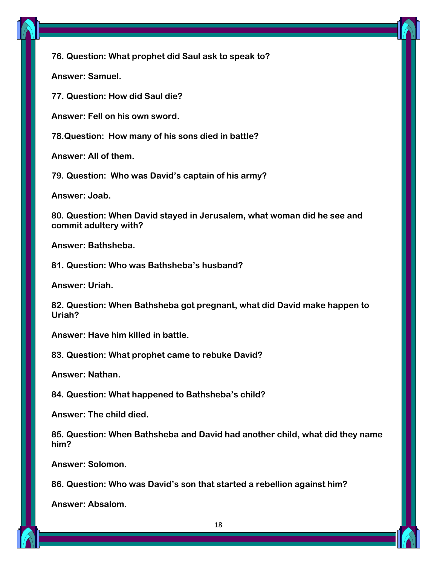

**76. Question: What prophet did Saul ask to speak to?**

**Answer: Samuel.**

**77. Question: How did Saul die?**

**Answer: Fell on his own sword.**

**78.Question: How many of his sons died in battle?**

**Answer: All of them.**

**79. Question: Who was David's captain of his army?**

**Answer: Joab.**

**80. Question: When David stayed in Jerusalem, what woman did he see and commit adultery with?**

**Answer: Bathsheba.**

**81. Question: Who was Bathsheba's husband?**

**Answer: Uriah.**

**82. Question: When Bathsheba got pregnant, what did David make happen to Uriah?**

**Answer: Have him killed in battle.**

**83. Question: What prophet came to rebuke David?**

**Answer: Nathan.**

**84. Question: What happened to Bathsheba's child?**

**Answer: The child died.**

**85. Question: When Bathsheba and David had another child, what did they name him?**

**Answer: Solomon.**

**86. Question: Who was David's son that started a rebellion against him?**

**Answer: Absalom.**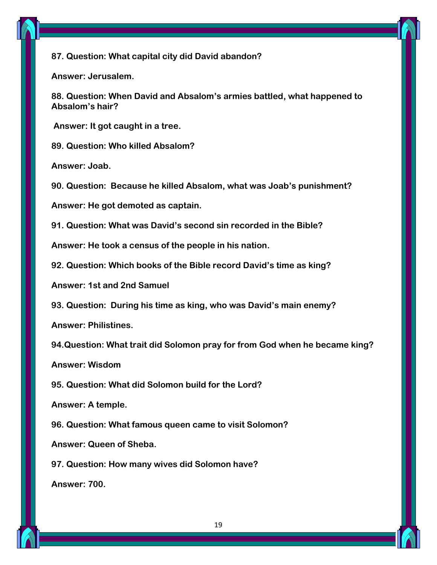

#### **87. Question: What capital city did David abandon?**

**Answer: Jerusalem.**

**88. Question: When David and Absalom's armies battled, what happened to Absalom's hair?**

**Answer: It got caught in a tree.**

**89. Question: Who killed Absalom?**

**Answer: Joab.**

**90. Question: Because he killed Absalom, what was Joab's punishment?**

**Answer: He got demoted as captain.**

**91. Question: What was David's second sin recorded in the Bible?**

**Answer: He took a census of the people in his nation.**

**92. Question: Which books of the Bible record David's time as king?**

**Answer: 1st and 2nd Samuel**

**93. Question: During his time as king, who was David's main enemy?**

**Answer: Philistines.**

**94.Question: What trait did Solomon pray for from God when he became king?**

**Answer: Wisdom**

**95. Question: What did Solomon build for the Lord?**

**Answer: A temple.**

**96. Question: What famous queen came to visit Solomon?**

**Answer: Queen of Sheba.**

**97. Question: How many wives did Solomon have?**

**Answer: 700.**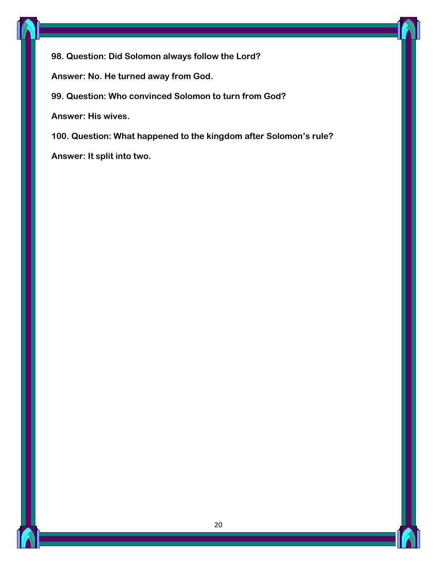

**98. Question: Did Solomon always follow the Lord?**

**Answer: No. He turned away from God.**

**99. Question: Who convinced Solomon to turn from God?**

**Answer: His wives.**

**100. Question: What happened to the kingdom after Solomon's rule?**

**Answer: It split into two.**

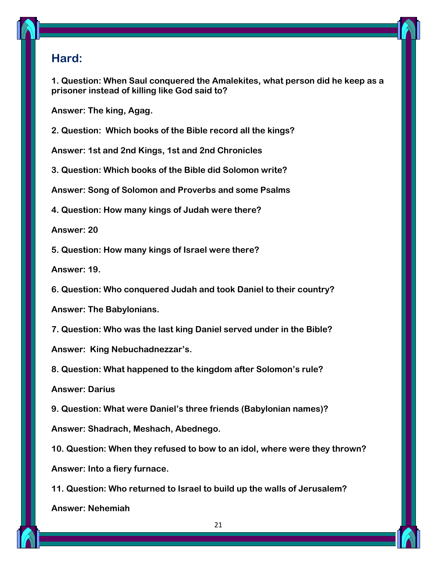#### **Hard:**

**1. Question: When Saul conquered the Amalekites, what person did he keep as a prisoner instead of killing like God said to?**

**Answer: The king, Agag.**

**2. Question: Which books of the Bible record all the kings?**

**Answer: 1st and 2nd Kings, 1st and 2nd Chronicles**

**3. Question: Which books of the Bible did Solomon write?**

**Answer: Song of Solomon and Proverbs and some Psalms**

**4. Question: How many kings of Judah were there?**

**Answer: 20**

**5. Question: How many kings of Israel were there?**

**Answer: 19.**

**6. Question: Who conquered Judah and took Daniel to their country?**

**Answer: The Babylonians.**

**7. Question: Who was the last king Daniel served under in the Bible? Answer: King Nebuchadnezzar's.**

**8. Question: What happened to the kingdom after Solomon's rule?**

**Answer: Darius**

**9. Question: What were Daniel's three friends (Babylonian names)?**

**Answer: Shadrach, Meshach, Abednego.**

**10. Question: When they refused to bow to an idol, where were they thrown? Answer: Into a fiery furnace.**

**11. Question: Who returned to Israel to build up the walls of Jerusalem? Answer: Nehemiah**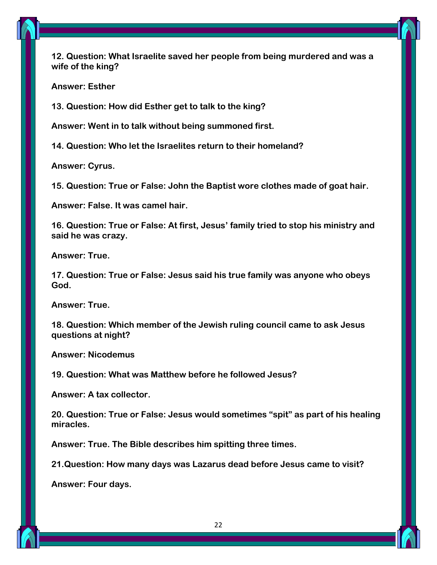

**12. Question: What Israelite saved her people from being murdered and was a wife of the king?**

**Answer: Esther**

**13. Question: How did Esther get to talk to the king?**

**Answer: Went in to talk without being summoned first.**

**14. Question: Who let the Israelites return to their homeland?**

**Answer: Cyrus.**

**15. Question: True or False: John the Baptist wore clothes made of goat hair.**

**Answer: False. It was camel hair.**

**16. Question: True or False: At first, Jesus' family tried to stop his ministry and said he was crazy.**

**Answer: True.**

**17. Question: True or False: Jesus said his true family was anyone who obeys God.**

**Answer: True.**

**18. Question: Which member of the Jewish ruling council came to ask Jesus questions at night?**

**Answer: Nicodemus**

**19. Question: What was Matthew before he followed Jesus?**

**Answer: A tax collector.**

**20. Question: True or False: Jesus would sometimes "spit" as part of his healing miracles.**

**Answer: True. The Bible describes him spitting three times.**

**21.Question: How many days was Lazarus dead before Jesus came to visit?**

**Answer: Four days.**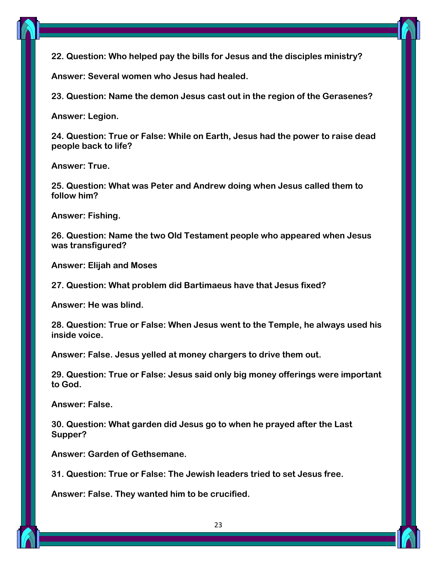

**22. Question: Who helped pay the bills for Jesus and the disciples ministry?**

**Answer: Several women who Jesus had healed.**

**23. Question: Name the demon Jesus cast out in the region of the Gerasenes?**

**Answer: Legion.**

**24. Question: True or False: While on Earth, Jesus had the power to raise dead people back to life?**

**Answer: True.**

**25. Question: What was Peter and Andrew doing when Jesus called them to follow him?**

**Answer: Fishing.**

**26. Question: Name the two Old Testament people who appeared when Jesus was transfigured?**

**Answer: Elijah and Moses**

**27. Question: What problem did Bartimaeus have that Jesus fixed?**

**Answer: He was blind.**

**28. Question: True or False: When Jesus went to the Temple, he always used his inside voice.**

**Answer: False. Jesus yelled at money chargers to drive them out.**

**29. Question: True or False: Jesus said only big money offerings were important to God.**

**Answer: False.**

**30. Question: What garden did Jesus go to when he prayed after the Last Supper?**

**Answer: Garden of Gethsemane.**

**31. Question: True or False: The Jewish leaders tried to set Jesus free.**

**Answer: False. They wanted him to be crucified.**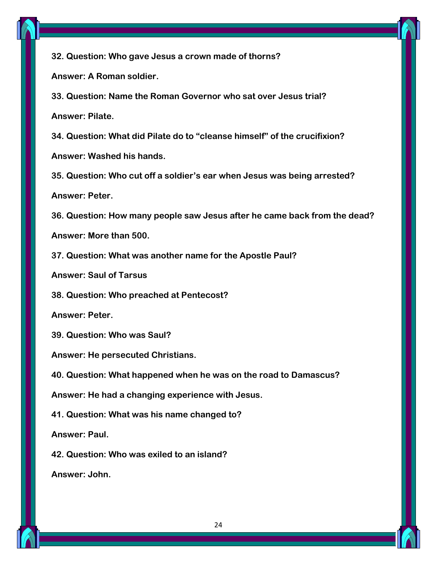

**32. Question: Who gave Jesus a crown made of thorns?**

**Answer: A Roman soldier.**

**33. Question: Name the Roman Governor who sat over Jesus trial? Answer: Pilate.**

**34. Question: What did Pilate do to "cleanse himself" of the crucifixion?**

**Answer: Washed his hands.**

**35. Question: Who cut off a soldier's ear when Jesus was being arrested?**

**Answer: Peter.**

**36. Question: How many people saw Jesus after he came back from the dead?**

**Answer: More than 500.**

**37. Question: What was another name for the Apostle Paul?**

**Answer: Saul of Tarsus**

**38. Question: Who preached at Pentecost?**

**Answer: Peter.**

**39. Question: Who was Saul?**

**Answer: He persecuted Christians.**

**40. Question: What happened when he was on the road to Damascus?**

**Answer: He had a changing experience with Jesus.**

**41. Question: What was his name changed to?**

**Answer: Paul.**

**42. Question: Who was exiled to an island?**

**Answer: John.**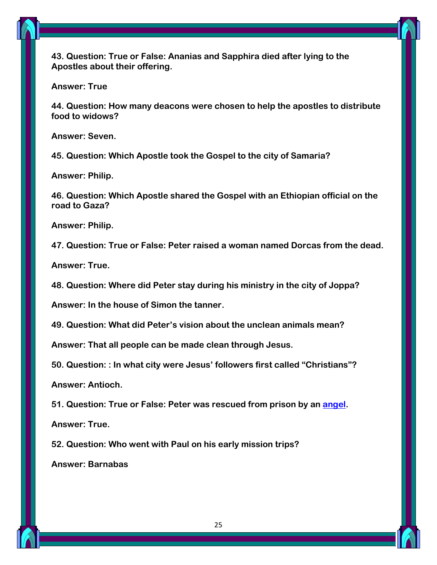**43. Question: True or False: Ananias and Sapphira died after lying to the Apostles about their offering.**

**Answer: True**

**44. Question: How many deacons were chosen to help the apostles to distribute food to widows?**

**Answer: Seven.**

**45. Question: Which Apostle took the Gospel to the city of Samaria?**

**Answer: Philip.**

**46. Question: Which Apostle shared the Gospel with an Ethiopian official on the road to Gaza?**

**Answer: Philip.**

**47. Question: True or False: Peter raised a woman named Dorcas from the dead.**

**Answer: True.**

**48. Question: Where did Peter stay during his ministry in the city of Joppa?**

**Answer: In the house of Simon the tanner.**

**49. Question: What did Peter's vision about the unclean animals mean?**

**Answer: That all people can be made clean through Jesus.**

**50. Question: : In what city were Jesus' followers first called "Christians"?**

**Answer: Antioch.**

**51. Question: True or False: Peter was rescued from prison by an [angel.](https://parade.com/1116818/marynliles/angel-names/)**

**Answer: True.**

**52. Question: Who went with Paul on his early mission trips?**

**Answer: Barnabas**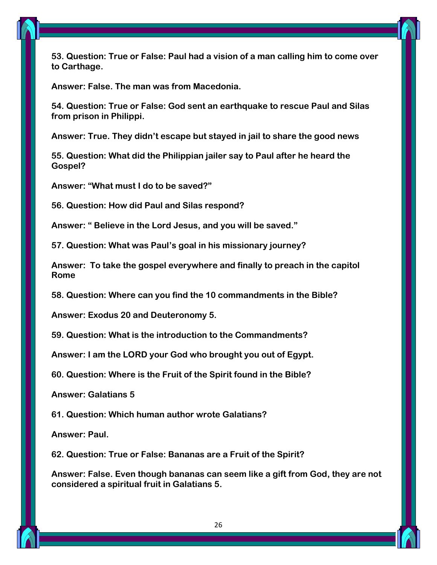

**53. Question: True or False: Paul had a vision of a man calling him to come over to Carthage.**

**Answer: False. The man was from Macedonia.**

**54. Question: True or False: God sent an earthquake to rescue Paul and Silas from prison in Philippi.**

**Answer: True. They didn't escape but stayed in jail to share the good news**

**55. Question: What did the Philippian jailer say to Paul after he heard the Gospel?**

**Answer: "What must I do to be saved?"**

**56. Question: How did Paul and Silas respond?**

**Answer: " Believe in the Lord Jesus, and you will be saved."**

**57. Question: What was Paul's goal in his missionary journey?**

**Answer: To take the gospel everywhere and finally to preach in the capitol Rome**

**58. Question: Where can you find the 10 commandments in the Bible?**

**Answer: Exodus 20 and Deuteronomy 5.**

**59. Question: What is the introduction to the Commandments?**

**Answer: I am the LORD your God who brought you out of Egypt.**

**60. Question: Where is the Fruit of the Spirit found in the Bible?**

**Answer: Galatians 5**

**61. Question: Which human author wrote Galatians?**

**Answer: Paul.**

**62. Question: True or False: Bananas are a Fruit of the Spirit?**

**Answer: False. Even though bananas can seem like a gift from God, they are not considered a spiritual fruit in Galatians 5.**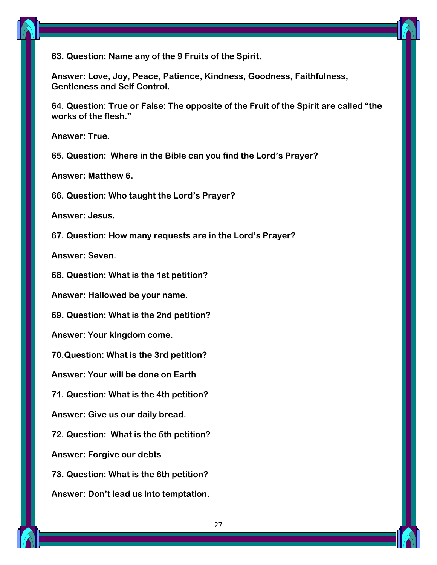



**Answer: Love, Joy, Peace, Patience, Kindness, Goodness, Faithfulness, Gentleness and Self Control.**

**64. Question: True or False: The opposite of the Fruit of the Spirit are called "the works of the flesh."**

**Answer: True.**

**65. Question: Where in the Bible can you find the Lord's Prayer?**

**Answer: Matthew 6.**

**66. Question: Who taught the Lord's Prayer?**

**Answer: Jesus.**

**67. Question: How many requests are in the Lord's Prayer?**

**Answer: Seven.**

**68. Question: What is the 1st petition?**

**Answer: Hallowed be your name.**

**69. Question: What is the 2nd petition?**

**Answer: Your kingdom come.**

**70.Question: What is the 3rd petition?**

**Answer: Your will be done on Earth**

**71. Question: What is the 4th petition?**

**Answer: Give us our daily bread.**

**72. Question: What is the 5th petition?**

**Answer: Forgive our debts**

**73. Question: What is the 6th petition?**

**Answer: Don't lead us into temptation.**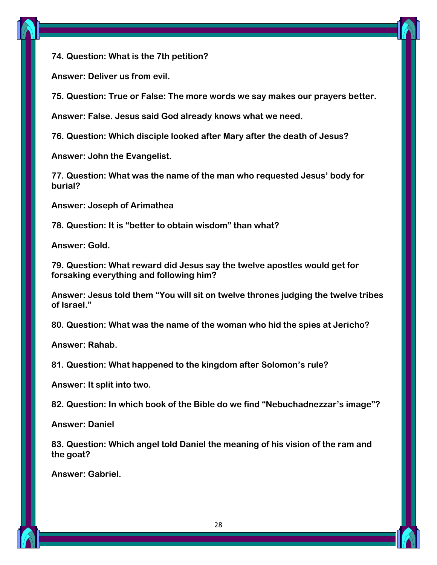



**Answer: Deliver us from evil.**

**75. Question: True or False: The more words we say makes our prayers better.**

**Answer: False. Jesus said God already knows what we need.**

**76. Question: Which disciple looked after Mary after the death of Jesus?**

**Answer: John the Evangelist.**

**77. Question: What was the name of the man who requested Jesus' body for burial?**

**Answer: Joseph of Arimathea**

**78. Question: It is "better to obtain wisdom" than what?**

**Answer: Gold.**

**79. Question: What reward did Jesus say the twelve apostles would get for forsaking everything and following him?**

**Answer: Jesus told them "You will sit on twelve thrones judging the twelve tribes of Israel."**

**80. Question: What was the name of the woman who hid the spies at Jericho?**

**Answer: Rahab.**

**81. Question: What happened to the kingdom after Solomon's rule?**

**Answer: It split into two.**

**82. Question: In which book of the Bible do we find "Nebuchadnezzar's image"?**

**Answer: Daniel**

**83. Question: Which angel told Daniel the meaning of his vision of the ram and the goat?**

**Answer: Gabriel.**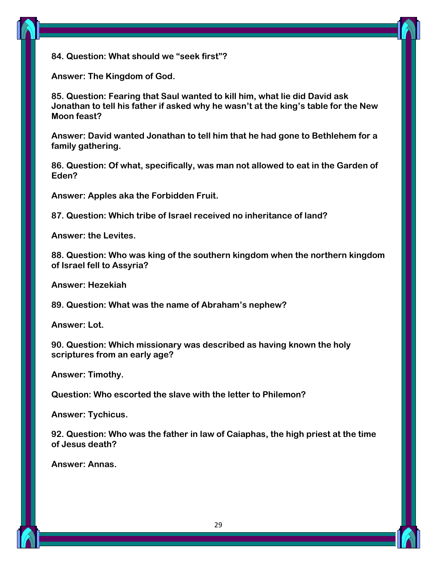



**Answer: The Kingdom of God.**

**85. Question: Fearing that Saul wanted to kill him, what lie did David ask Jonathan to tell his father if asked why he wasn't at the king's table for the New Moon feast?**

**Answer: David wanted Jonathan to tell him that he had gone to Bethlehem for a family gathering.**

**86. Question: Of what, specifically, was man not allowed to eat in the Garden of Eden?**

**Answer: Apples aka the Forbidden Fruit.**

**87. Question: Which tribe of Israel received no inheritance of land?**

**Answer: the Levites.**

**88. Question: Who was king of the southern kingdom when the northern kingdom of Israel fell to Assyria?**

**Answer: Hezekiah**

**89. Question: What was the name of Abraham's nephew?**

**Answer: Lot.**

**90. Question: Which missionary was described as having known the holy scriptures from an early age?**

**Answer: Timothy.**

**Question: Who escorted the slave with the letter to Philemon?**

**Answer: Tychicus.**

**92. Question: Who was the father in law of Caiaphas, the high priest at the time of Jesus death?**

**Answer: Annas.**